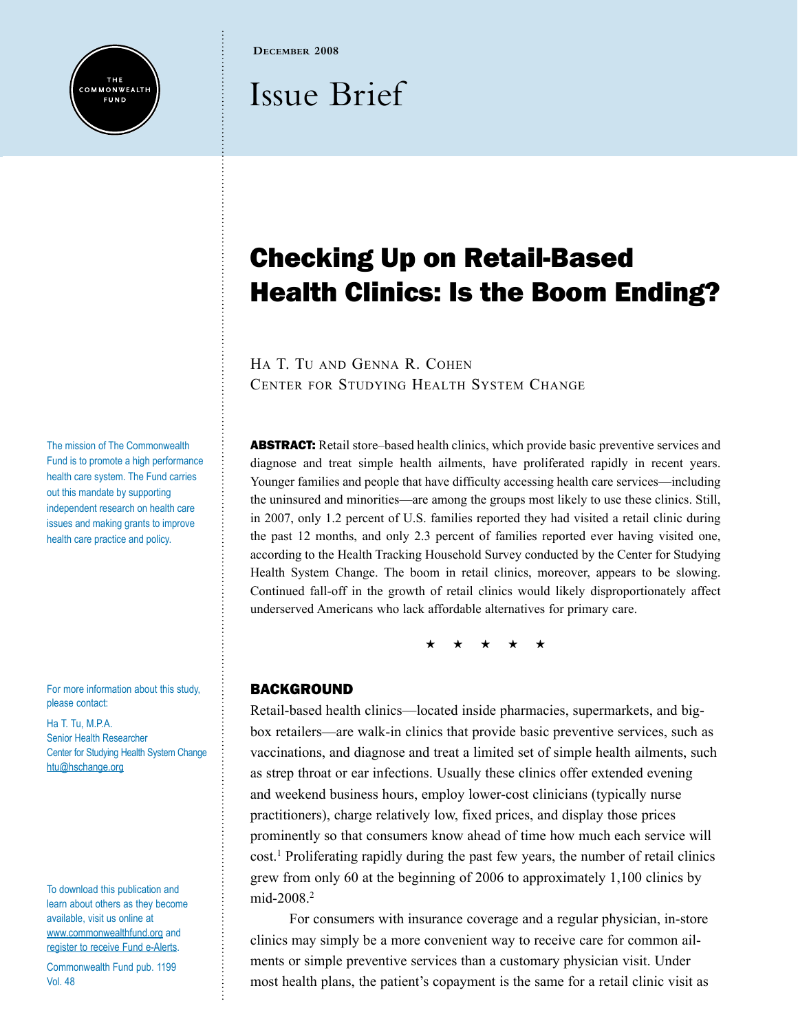

**December 2008**

# Issue Brief

## Checking Up on Retail-Based Health Clinics: Is the Boom Ending?

Ha T. Tu and Genna R. Cohen Center for Studying Health System Change

ABSTRACT: Retail store–based health clinics, which provide basic preventive services and diagnose and treat simple health ailments, have proliferated rapidly in recent years. Younger families and people that have difficulty accessing health care services—including the uninsured and minorities—are among the groups most likely to use these clinics. Still, in 2007, only 1.2 percent of U.S. families reported they had visited a retail clinic during the past 12 months, and only 2.3 percent of families reported ever having visited one, according to the Health Tracking Household Survey conducted by the Center for Studying Health System Change. The boom in retail clinics, moreover, appears to be slowing. Continued fall-off in the growth of retail clinics would likely disproportionately affect underserved Americans who lack affordable alternatives for primary care.

\* \* \* \*

## **BACKGROUND**

Retail-based health clinics—located inside pharmacies, supermarkets, and bigbox retailers—are walk-in clinics that provide basic preventive services, such as vaccinations, and diagnose and treat a limited set of simple health ailments, such as strep throat or ear infections. Usually these clinics offer extended evening and weekend business hours, employ lower-cost clinicians (typically nurse practitioners), charge relatively low, fixed prices, and display those prices prominently so that consumers know ahead of time how much each service will cost.1 Proliferating rapidly during the past few years, the number of retail clinics grew from only 60 at the beginning of 2006 to approximately 1,100 clinics by mid-2008.<sup>2</sup>

For consumers with insurance coverage and a regular physician, in-store clinics may simply be a more convenient way to receive care for common ailments or simple preventive services than a customary physician visit. Under most health plans, the patient's copayment is the same for a retail clinic visit as

The mission of [The Commonwealth](www.commonwealthfund.org)  [Fund](www.commonwealthfund.org) is to promote a high performance health care system. The Fund carries out this mandate by supporting independent research on health care issues and making grants to improve health care practice and policy.

For more information about this study, please contact:

Ha T. Tu, M.P.A. Senior Health Researcher Center for Studying Health System Change [htu@hschange.org](mailto:htu@hschange.org)

To download this publication and learn about others as they become available, visit us online at <www.commonwealthfund.org> and [register to receive Fund e-Alerts.](http://www.commonwealthfund.org/myprofile/myprofile_edit.htm)

Commonwealth Fund pub. 1199 Vol. 48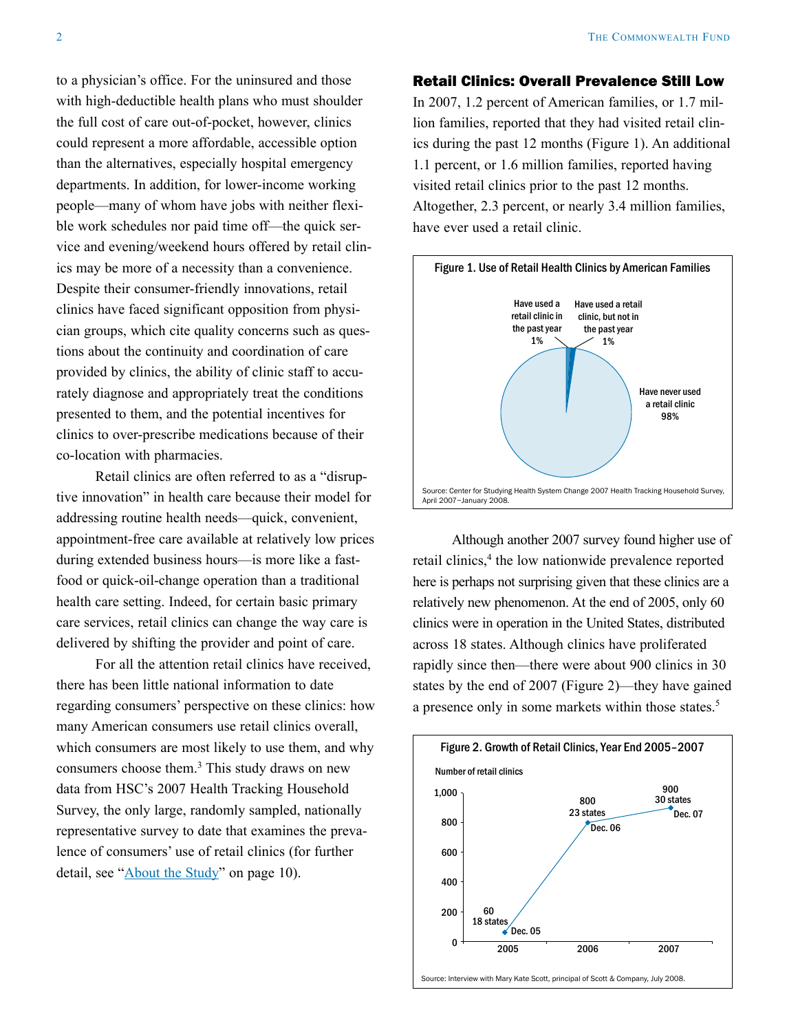to a physician's office. For the uninsured and those with high-deductible health plans who must shoulder the full cost of care out-of-pocket, however, clinics could represent a more affordable, accessible option than the alternatives, especially hospital emergency departments. In addition, for lower-income working people—many of whom have jobs with neither flexible work schedules nor paid time off—the quick service and evening/weekend hours offered by retail clinics may be more of a necessity than a convenience. Despite their consumer-friendly innovations, retail clinics have faced significant opposition from physician groups, which cite quality concerns such as questions about the continuity and coordination of care provided by clinics, the ability of clinic staff to accurately diagnose and appropriately treat the conditions presented to them, and the potential incentives for clinics to over-prescribe medications because of their co-location with pharmacies.

Retail clinics are often referred to as a "disruptive innovation" in health care because their model for addressing routine health needs—quick, convenient, appointment-free care available at relatively low prices during extended business hours—is more like a fastfood or quick-oil-change operation than a traditional health care setting. Indeed, for certain basic primary care services, retail clinics can change the way care is delivered by shifting the provider and point of care.

For all the attention retail clinics have received, there has been little national information to date regarding consumers' perspective on these clinics: how many American consumers use retail clinics overall, which consumers are most likely to use them, and why consumers choose them.<sup>3</sup> This study draws on new data from HSC's 2007 Health Tracking Household Survey, the only large, randomly sampled, nationally representative survey to date that examines the prevalence of consumers' use of retail clinics (for further detail, see ["About the Study](#page-9-0)" on page 10).

#### Retail Clinics: Overall Prevalence Still Low

In 2007, 1.2 percent of American families, or 1.7 million families, reported that they had visited retail clinics during the past 12 months (Figure 1). An additional 1.1 percent, or 1.6 million families, reported having visited retail clinics prior to the past 12 months. Altogether, 2.3 percent, or nearly 3.4 million families, have ever used a retail clinic.



Although another 2007 survey found higher use of retail clinics,<sup>4</sup> the low nationwide prevalence reported here is perhaps not surprising given that these clinics are a relatively new phenomenon. At the end of 2005, only 60 clinics were in operation in the United States, distributed across 18 states. Although clinics have proliferated rapidly since then—there were about 900 clinics in 30 states by the end of 2007 (Figure 2)—they have gained a presence only in some markets within those states.<sup>5</sup>



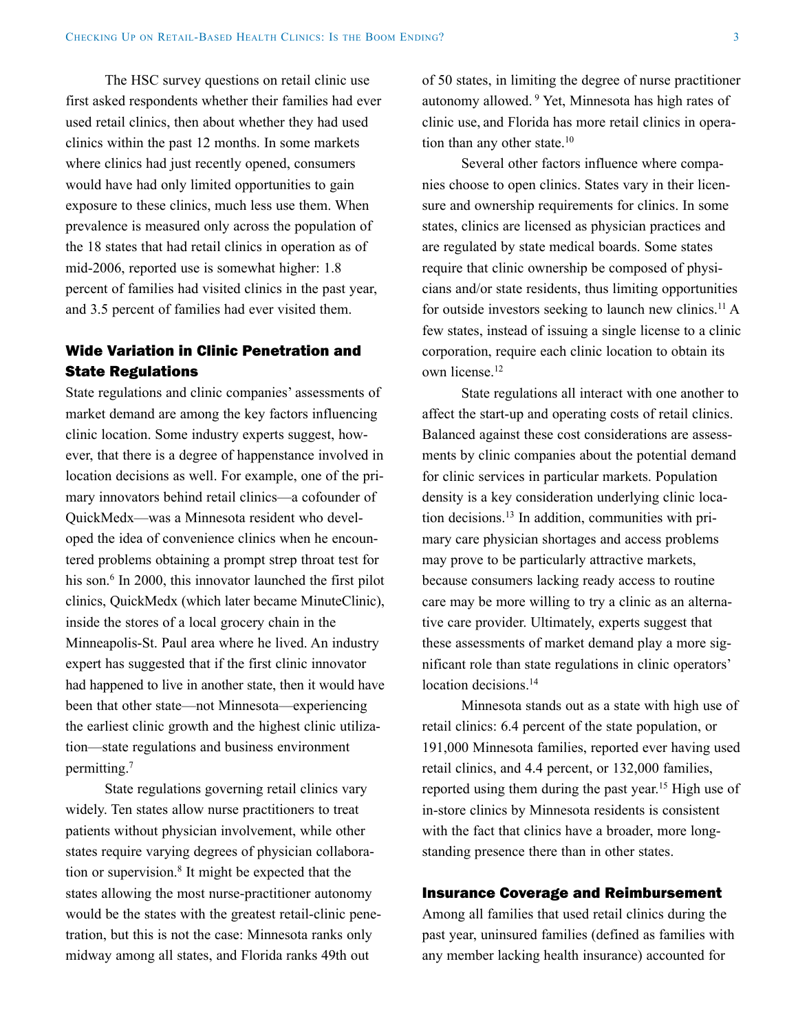The HSC survey questions on retail clinic use first asked respondents whether their families had ever used retail clinics, then about whether they had used clinics within the past 12 months. In some markets where clinics had just recently opened, consumers would have had only limited opportunities to gain exposure to these clinics, much less use them. When prevalence is measured only across the population of the 18 states that had retail clinics in operation as of mid-2006, reported use is somewhat higher: 1.8 percent of families had visited clinics in the past year, and 3.5 percent of families had ever visited them.

### Wide Variation in Clinic Penetration and State Regulations

State regulations and clinic companies' assessments of market demand are among the key factors influencing clinic location. Some industry experts suggest, however, that there is a degree of happenstance involved in location decisions as well. For example, one of the primary innovators behind retail clinics—a cofounder of QuickMedx—was a Minnesota resident who developed the idea of convenience clinics when he encountered problems obtaining a prompt strep throat test for his son.<sup>6</sup> In 2000, this innovator launched the first pilot clinics, QuickMedx (which later became MinuteClinic), inside the stores of a local grocery chain in the Minneapolis-St. Paul area where he lived. An industry expert has suggested that if the first clinic innovator had happened to live in another state, then it would have been that other state—not Minnesota—experiencing the earliest clinic growth and the highest clinic utilization—state regulations and business environment permitting.7

State regulations governing retail clinics vary widely. Ten states allow nurse practitioners to treat patients without physician involvement, while other states require varying degrees of physician collaboration or supervision.8 It might be expected that the states allowing the most nurse-practitioner autonomy would be the states with the greatest retail-clinic penetration, but this is not the case: Minnesota ranks only midway among all states, and Florida ranks 49th out

of 50 states, in limiting the degree of nurse practitioner autonomy allowed. 9 Yet, Minnesota has high rates of clinic use, and Florida has more retail clinics in operation than any other state.<sup>10</sup>

Several other factors influence where companies choose to open clinics. States vary in their licensure and ownership requirements for clinics. In some states, clinics are licensed as physician practices and are regulated by state medical boards. Some states require that clinic ownership be composed of physicians and/or state residents, thus limiting opportunities for outside investors seeking to launch new clinics.<sup>11</sup> A few states, instead of issuing a single license to a clinic corporation, require each clinic location to obtain its own license.12

State regulations all interact with one another to affect the start-up and operating costs of retail clinics. Balanced against these cost considerations are assessments by clinic companies about the potential demand for clinic services in particular markets. Population density is a key consideration underlying clinic location decisions.13 In addition, communities with primary care physician shortages and access problems may prove to be particularly attractive markets, because consumers lacking ready access to routine care may be more willing to try a clinic as an alternative care provider. Ultimately, experts suggest that these assessments of market demand play a more significant role than state regulations in clinic operators' location decisions.<sup>14</sup>

Minnesota stands out as a state with high use of retail clinics: 6.4 percent of the state population, or 191,000 Minnesota families, reported ever having used retail clinics, and 4.4 percent, or 132,000 families, reported using them during the past year.<sup>15</sup> High use of in-store clinics by Minnesota residents is consistent with the fact that clinics have a broader, more longstanding presence there than in other states.

#### Insurance Coverage and Reimbursement

Among all families that used retail clinics during the past year, uninsured families (defined as families with any member lacking health insurance) accounted for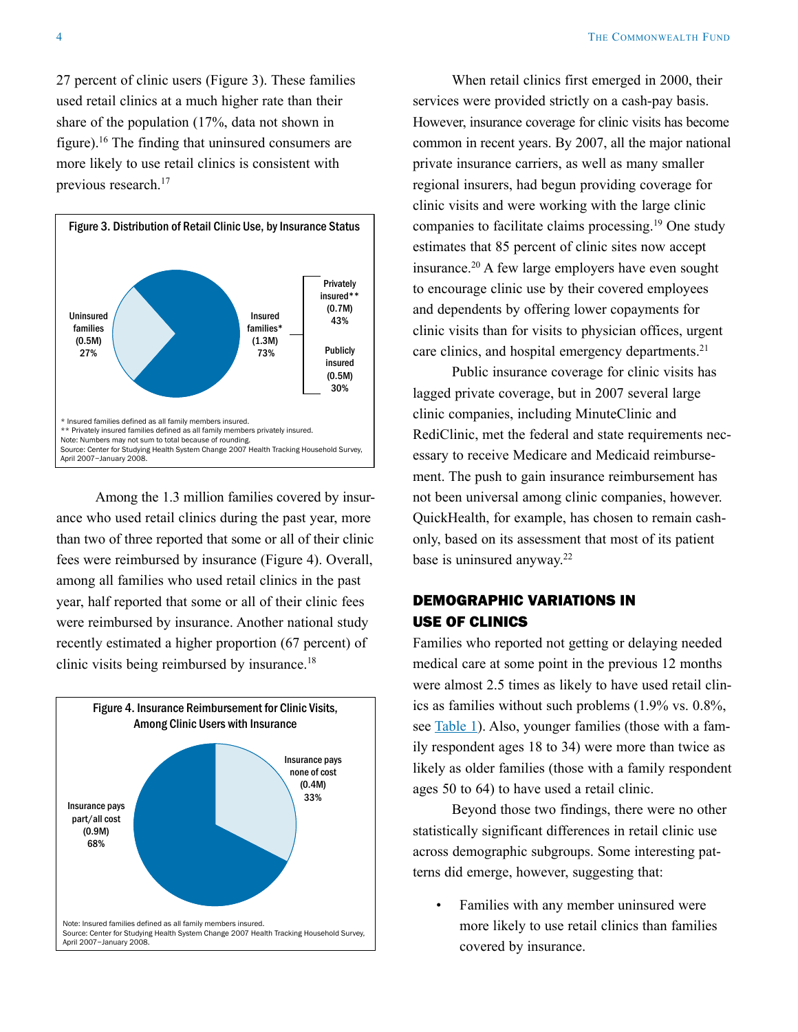27 percent of clinic users (Figure 3). These families used retail clinics at a much higher rate than their share of the population (17%, data not shown in figure).16 The finding that uninsured consumers are more likely to use retail clinics is consistent with previous research.<sup>17</sup>



Among the 1.3 million families covered by insurance who used retail clinics during the past year, more than two of three reported that some or all of their clinic fees were reimbursed by insurance (Figure 4). Overall, among all families who used retail clinics in the past year, half reported that some or all of their clinic fees were reimbursed by insurance. Another national study recently estimated a higher proportion (67 percent) of clinic visits being reimbursed by insurance.18



When retail clinics first emerged in 2000, their services were provided strictly on a cash-pay basis. However, insurance coverage for clinic visits has become common in recent years. By 2007, all the major national private insurance carriers, as well as many smaller regional insurers, had begun providing coverage for clinic visits and were working with the large clinic companies to facilitate claims processing.19 One study estimates that 85 percent of clinic sites now accept insurance.20 A few large employers have even sought to encourage clinic use by their covered employees and dependents by offering lower copayments for clinic visits than for visits to physician offices, urgent care clinics, and hospital emergency departments.<sup>21</sup>

Public insurance coverage for clinic visits has lagged private coverage, but in 2007 several large clinic companies, including MinuteClinic and RediClinic, met the federal and state requirements necessary to receive Medicare and Medicaid reimbursement. The push to gain insurance reimbursement has not been universal among clinic companies, however. QuickHealth, for example, has chosen to remain cashonly, based on its assessment that most of its patient base is uninsured anyway.<sup>22</sup>

## Demographic Variations in Use of Clinics

Families who reported not getting or delaying needed medical care at some point in the previous 12 months were almost 2.5 times as likely to have used retail clinics as families without such problems (1.9% vs. 0.8%, see [Table 1](#page-8-0)). Also, younger families (those with a family respondent ages 18 to 34) were more than twice as likely as older families (those with a family respondent ages 50 to 64) to have used a retail clinic.

Beyond those two findings, there were no other statistically significant differences in retail clinic use across demographic subgroups. Some interesting patterns did emerge, however, suggesting that:

Families with any member uninsured were more likely to use retail clinics than families covered by insurance.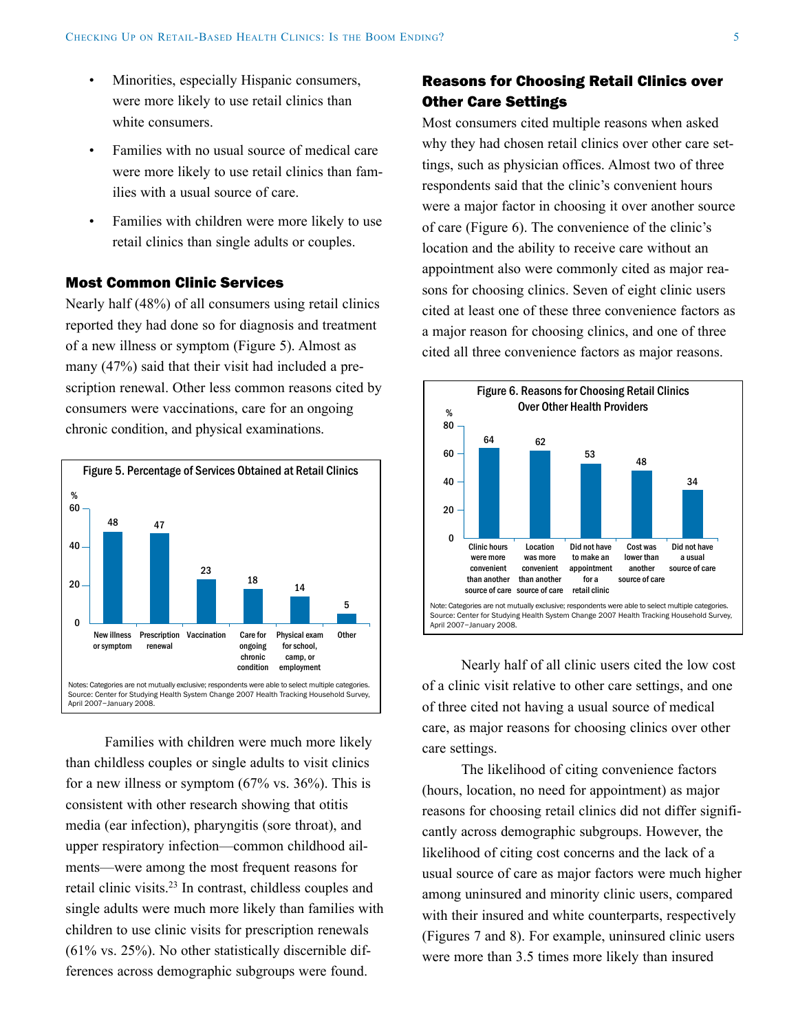- Minorities, especially Hispanic consumers, were more likely to use retail clinics than white consumers.
- Families with no usual source of medical care were more likely to use retail clinics than families with a usual source of care.
- Families with children were more likely to use retail clinics than single adults or couples.

#### Most Common Clinic Services

Nearly half (48%) of all consumers using retail clinics reported they had done so for diagnosis and treatment of a new illness or symptom (Figure 5). Almost as many (47%) said that their visit had included a prescription renewal. Other less common reasons cited by consumers were vaccinations, care for an ongoing chronic condition, and physical examinations.



Families with children were much more likely than childless couples or single adults to visit clinics for a new illness or symptom (67% vs. 36%). This is consistent with other research showing that otitis media (ear infection), pharyngitis (sore throat), and upper respiratory infection—common childhood ailments—were among the most frequent reasons for retail clinic visits.23 In contrast, childless couples and single adults were much more likely than families with children to use clinic visits for prescription renewals (61% vs. 25%). No other statistically discernible differences across demographic subgroups were found.

## Reasons for Choosing Retail Clinics over Other Care Settings

Most consumers cited multiple reasons when asked why they had chosen retail clinics over other care settings, such as physician offices. Almost two of three respondents said that the clinic's convenient hours were a major factor in choosing it over another source of care (Figure 6). The convenience of the clinic's location and the ability to receive care without an appointment also were commonly cited as major reasons for choosing clinics. Seven of eight clinic users cited at least one of these three convenience factors as a major reason for choosing clinics, and one of three cited all three convenience factors as major reasons.



Nearly half of all clinic users cited the low cost of a clinic visit relative to other care settings, and one of three cited not having a usual source of medical care, as major reasons for choosing clinics over other care settings.

The likelihood of citing convenience factors (hours, location, no need for appointment) as major reasons for choosing retail clinics did not differ significantly across demographic subgroups. However, the likelihood of citing cost concerns and the lack of a usual source of care as major factors were much higher among uninsured and minority clinic users, compared with their insured and white counterparts, respectively (Figures 7 and 8). For example, uninsured clinic users were more than 3.5 times more likely than insured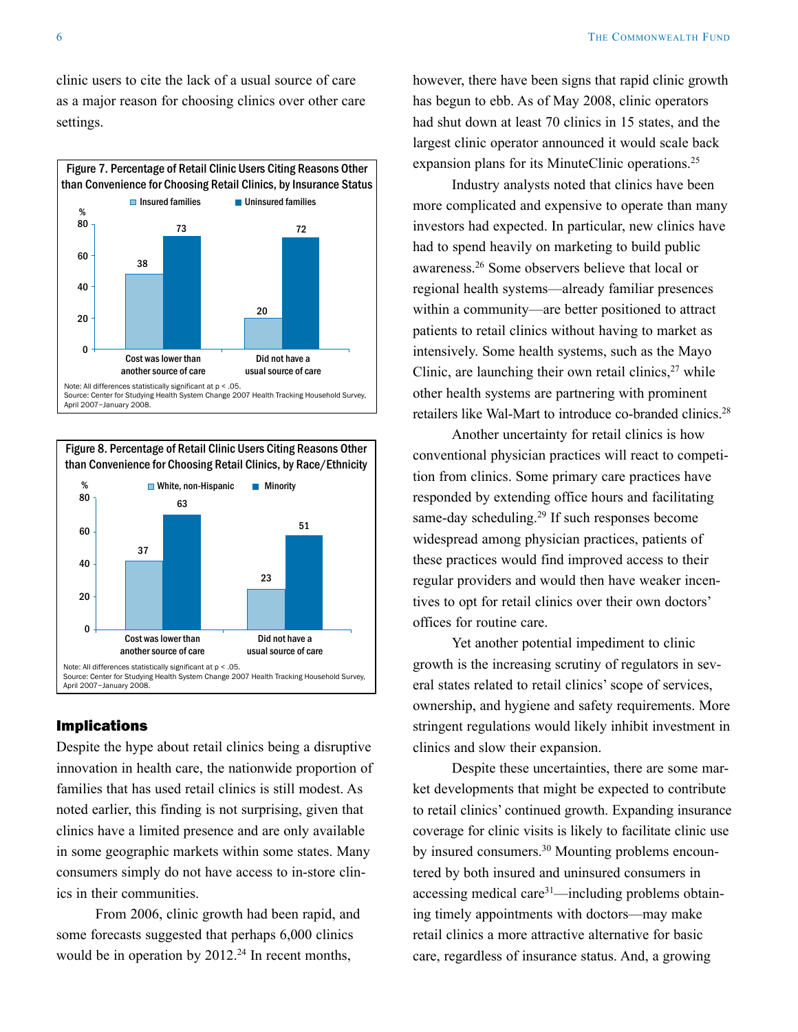clinic users to cite the lack of a usual source of care as a major reason for choosing clinics over other care settings.





#### Implications

Despite the hype about retail clinics being a disruptive innovation in health care, the nationwide proportion of families that has used retail clinics is still modest. As noted earlier, this finding is not surprising, given that clinics have a limited presence and are only available in some geographic markets within some states. Many consumers simply do not have access to in-store clinics in their communities.

From 2006, clinic growth had been rapid, and some forecasts suggested that perhaps 6,000 clinics would be in operation by  $2012<sup>24</sup>$  In recent months,

however, there have been signs that rapid clinic growth has begun to ebb. As of May 2008, clinic operators had shut down at least 70 clinics in 15 states, and the largest clinic operator announced it would scale back expansion plans for its MinuteClinic operations.<sup>25</sup>

Industry analysts noted that clinics have been more complicated and expensive to operate than many investors had expected. In particular, new clinics have had to spend heavily on marketing to build public awareness.26 Some observers believe that local or regional health systems—already familiar presences within a community—are better positioned to attract patients to retail clinics without having to market as intensively. Some health systems, such as the Mayo Clinic, are launching their own retail clinics, $27$  while other health systems are partnering with prominent retailers like Wal-Mart to introduce co-branded clinics.28

Another uncertainty for retail clinics is how conventional physician practices will react to competition from clinics. Some primary care practices have responded by extending office hours and facilitating same-day scheduling.29 If such responses become widespread among physician practices, patients of these practices would find improved access to their regular providers and would then have weaker incentives to opt for retail clinics over their own doctors' offices for routine care.

Yet another potential impediment to clinic growth is the increasing scrutiny of regulators in several states related to retail clinics' scope of services, ownership, and hygiene and safety requirements. More stringent regulations would likely inhibit investment in clinics and slow their expansion.

Despite these uncertainties, there are some market developments that might be expected to contribute to retail clinics' continued growth. Expanding insurance coverage for clinic visits is likely to facilitate clinic use by insured consumers.<sup>30</sup> Mounting problems encountered by both insured and uninsured consumers in accessing medical care<sup>31</sup>—including problems obtaining timely appointments with doctors—may make retail clinics a more attractive alternative for basic care, regardless of insurance status. And, a growing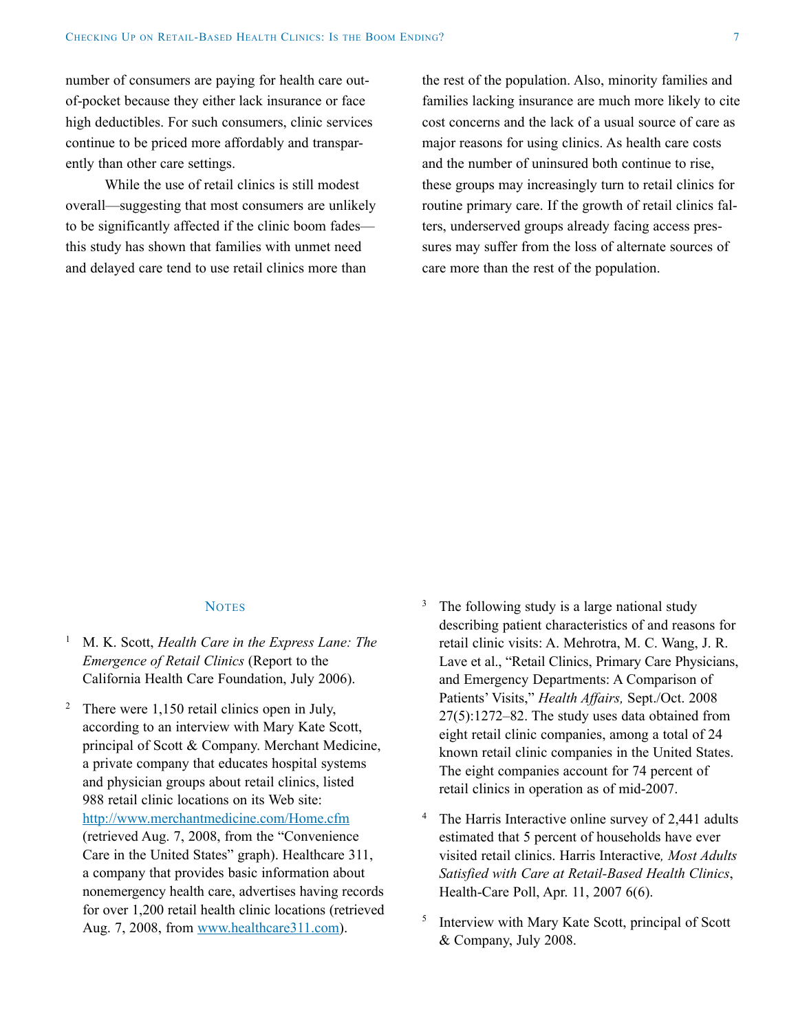number of consumers are paying for health care outof-pocket because they either lack insurance or face high deductibles. For such consumers, clinic services continue to be priced more affordably and transparently than other care settings.

While the use of retail clinics is still modest overall—suggesting that most consumers are unlikely to be significantly affected if the clinic boom fades this study has shown that families with unmet need and delayed care tend to use retail clinics more than

the rest of the population. Also, minority families and families lacking insurance are much more likely to cite cost concerns and the lack of a usual source of care as major reasons for using clinics. As health care costs and the number of uninsured both continue to rise, these groups may increasingly turn to retail clinics for routine primary care. If the growth of retail clinics falters, underserved groups already facing access pressures may suffer from the loss of alternate sources of care more than the rest of the population.

#### **NOTES**

- <sup>1</sup> M. K. Scott, *Health Care in the Express Lane: The Emergence of Retail Clinics* (Report to the California Health Care Foundation, July 2006).
- <sup>2</sup> There were 1,150 retail clinics open in July, according to an interview with Mary Kate Scott, principal of Scott & Company. Merchant Medicine, a private company that educates hospital systems and physician groups about retail clinics, listed 988 retail clinic locations on its Web site: <http://www.merchantmedicine.com/Home.cfm> (retrieved Aug. 7, 2008, from the "Convenience Care in the United States" graph). Healthcare 311, a company that provides basic information about nonemergency health care, advertises having records for over 1,200 retail health clinic locations (retrieved Aug. 7, 2008, from [www.healthcare311.com](http://www.healthcare311.com)).
- <sup>3</sup> The following study is a large national study describing patient characteristics of and reasons for retail clinic visits: A. Mehrotra, M. C. Wang, J. R. Lave et al., "Retail Clinics, Primary Care Physicians, and Emergency Departments: A Comparison of Patients' Visits," *Health Affairs,* Sept./Oct. 2008 27(5):1272–82. The study uses data obtained from eight retail clinic companies, among a total of 24 known retail clinic companies in the United States. The eight companies account for 74 percent of retail clinics in operation as of mid-2007.
- <sup>4</sup> The Harris Interactive online survey of 2,441 adults estimated that 5 percent of households have ever visited retail clinics. Harris Interactive*, Most Adults Satisfied with Care at Retail-Based Health Clinics*, Health-Care Poll, Apr. 11, 2007 6(6).
- <sup>5</sup> Interview with Mary Kate Scott, principal of Scott & Company, July 2008.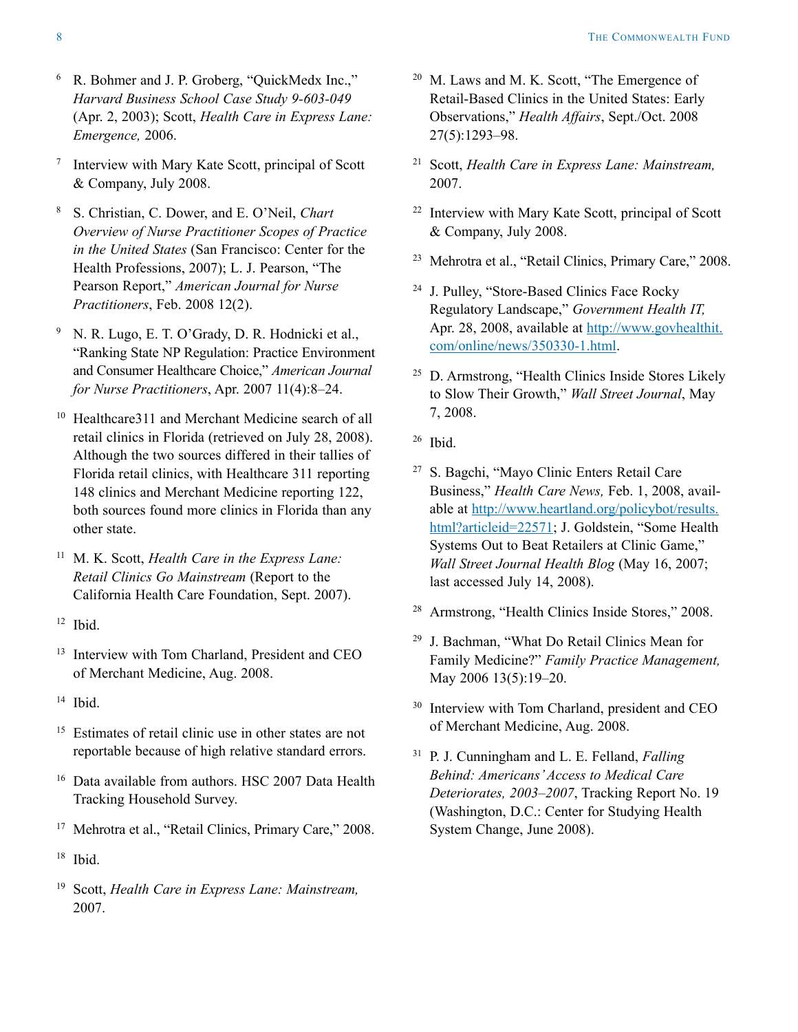- <sup>6</sup> R. Bohmer and J. P. Groberg, "QuickMedx Inc.," *Harvard Business School Case Study 9-603-049* (Apr. 2, 2003); Scott, *Health Care in Express Lane: Emergence,* 2006.
- <sup>7</sup> Interview with Mary Kate Scott, principal of Scott & Company, July 2008.
- <sup>8</sup> S. Christian, C. Dower, and E. O'Neil, *Chart Overview of Nurse Practitioner Scopes of Practice in the United States* (San Francisco: Center for the Health Professions, 2007); L. J. Pearson, "The Pearson Report," *American Journal for Nurse Practitioners*, Feb. 2008 12(2).
- <sup>9</sup> N. R. Lugo, E. T. O'Grady, D. R. Hodnicki et al., "Ranking State NP Regulation: Practice Environment and Consumer Healthcare Choice," *American Journal for Nurse Practitioners*, Apr. 2007 11(4):8–24.
- <sup>10</sup> Healthcare311 and Merchant Medicine search of all retail clinics in Florida (retrieved on July 28, 2008). Although the two sources differed in their tallies of Florida retail clinics, with Healthcare 311 reporting 148 clinics and Merchant Medicine reporting 122, both sources found more clinics in Florida than any other state.
- <sup>11</sup> M. K. Scott, *Health Care in the Express Lane: Retail Clinics Go Mainstream* (Report to the California Health Care Foundation, Sept. 2007).
- $12$  Ibid.
- <sup>13</sup> Interview with Tom Charland, President and CEO of Merchant Medicine, Aug. 2008.
- $14$  Ibid.
- <sup>15</sup> Estimates of retail clinic use in other states are not reportable because of high relative standard errors.
- <sup>16</sup> Data available from authors. HSC 2007 Data Health Tracking Household Survey.
- <sup>17</sup> Mehrotra et al., "Retail Clinics, Primary Care," 2008.
- <sup>18</sup> Ibid.
- <sup>19</sup> Scott, *Health Care in Express Lane: Mainstream,* 2007.
- <sup>20</sup> M. Laws and M. K. Scott, "The Emergence of Retail-Based Clinics in the United States: Early Observations," *Health Affairs*, Sept./Oct. 2008 27(5):1293–98.
- <sup>21</sup> Scott, *Health Care in Express Lane: Mainstream,* 2007.
- <sup>22</sup> Interview with Mary Kate Scott, principal of Scott & Company, July 2008.
- <sup>23</sup> Mehrotra et al., "Retail Clinics, Primary Care," 2008.
- <sup>24</sup> J. Pulley, "Store-Based Clinics Face Rocky Regulatory Landscape," *Government Health IT,* Apr. 28, 2008, available at [http://www.govhealthit.](http://www.govhealthit.com/online/news/350330-1.html) [com/online/news/350330-1.html](http://www.govhealthit.com/online/news/350330-1.html).
- <sup>25</sup> D. Armstrong, "Health Clinics Inside Stores Likely to Slow Their Growth," *Wall Street Journal*, May 7, 2008.
- <sup>26</sup> Ibid.
- <sup>27</sup> S. Bagchi, "Mayo Clinic Enters Retail Care Business," *Health Care News,* Feb. 1, 2008, available at [http://www.heartland.org/policybot/results.](http://www.heartland.org/policybot/results.html?articleid=22571) [html?articleid=22571;](http://www.heartland.org/policybot/results.html?articleid=22571) J. Goldstein, "Some Health Systems Out to Beat Retailers at Clinic Game," *Wall Street Journal Health Blog* (May 16, 2007; last accessed July 14, 2008).
- <sup>28</sup> Armstrong, "Health Clinics Inside Stores," 2008.
- <sup>29</sup> J. Bachman, "What Do Retail Clinics Mean for Family Medicine?" *Family Practice Management,* May 2006 13(5):19–20.
- <sup>30</sup> Interview with Tom Charland, president and CEO of Merchant Medicine, Aug. 2008.
- <sup>31</sup> P. J. Cunningham and L. E. Felland, *Falling Behind: Americans' Access to Medical Care Deteriorates, 2003–2007*, Tracking Report No. 19 (Washington, D.C.: Center for Studying Health System Change, June 2008).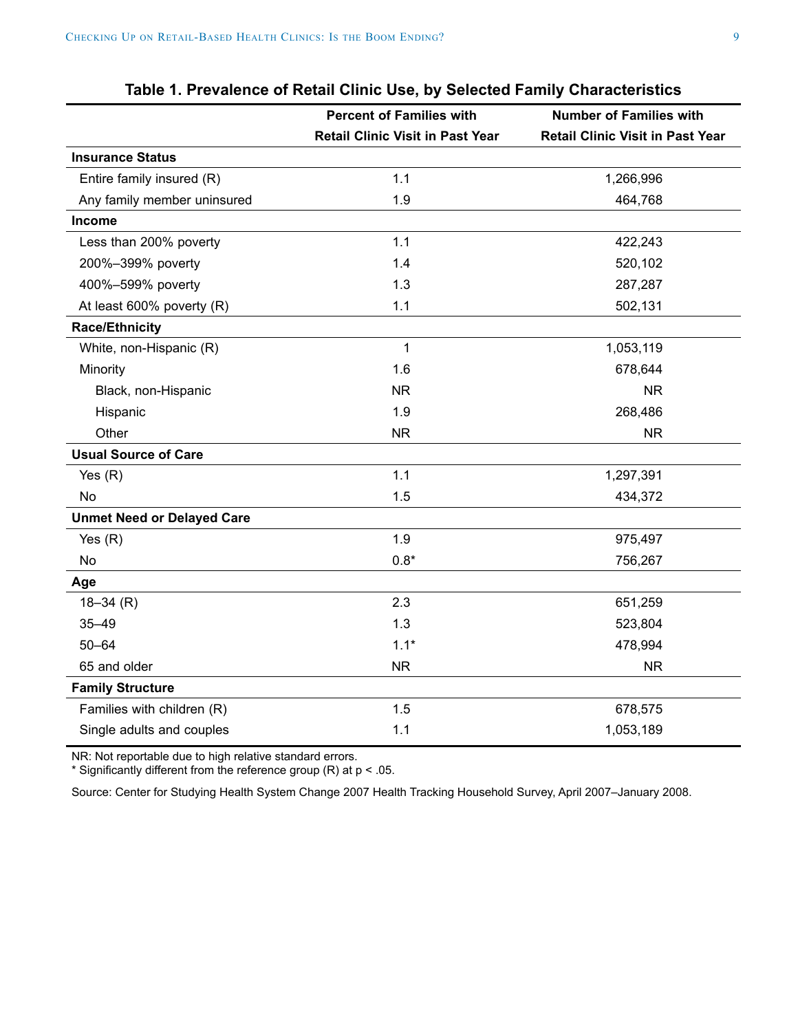<span id="page-8-0"></span>

|                                   | <b>Percent of Families with</b>         | <b>Number of Families with</b>          |
|-----------------------------------|-----------------------------------------|-----------------------------------------|
|                                   | <b>Retail Clinic Visit in Past Year</b> | <b>Retail Clinic Visit in Past Year</b> |
| <b>Insurance Status</b>           |                                         |                                         |
| Entire family insured (R)         | 1.1                                     | 1,266,996                               |
| Any family member uninsured       | 1.9                                     | 464,768                                 |
| Income                            |                                         |                                         |
| Less than 200% poverty            | 1.1                                     | 422,243                                 |
| 200%-399% poverty                 | 1.4                                     | 520,102                                 |
| 400%-599% poverty                 | 1.3                                     | 287,287                                 |
| At least 600% poverty (R)         | 1.1                                     | 502,131                                 |
| <b>Race/Ethnicity</b>             |                                         |                                         |
| White, non-Hispanic (R)           | 1                                       | 1,053,119                               |
| Minority                          | 1.6                                     | 678,644                                 |
| Black, non-Hispanic               | <b>NR</b>                               | <b>NR</b>                               |
| Hispanic                          | 1.9                                     | 268,486                                 |
| Other                             | <b>NR</b>                               | <b>NR</b>                               |
| <b>Usual Source of Care</b>       |                                         |                                         |
| Yes $(R)$                         | 1.1                                     | 1,297,391                               |
| No                                | 1.5                                     | 434,372                                 |
| <b>Unmet Need or Delayed Care</b> |                                         |                                         |
| Yes $(R)$                         | 1.9                                     | 975,497                                 |
| No                                | $0.8*$                                  | 756,267                                 |
| Age                               |                                         |                                         |
| $18 - 34$ (R)                     | 2.3                                     | 651,259                                 |
| $35 - 49$                         | 1.3                                     | 523,804                                 |
| $50 - 64$                         | $1.1*$                                  | 478,994                                 |
| 65 and older                      | <b>NR</b>                               | <b>NR</b>                               |
| <b>Family Structure</b>           |                                         |                                         |
| Families with children (R)        | 1.5                                     | 678,575                                 |
| Single adults and couples         | 1.1                                     | 1,053,189                               |

## **Table 1. Prevalence of Retail Clinic Use, by Selected Family Characteristics**

NR: Not reportable due to high relative standard errors.

\* Significantly different from the reference group (R) at p < .05.

Source: Center for Studying Health System Change 2007 Health Tracking Household Survey, April 2007–January 2008.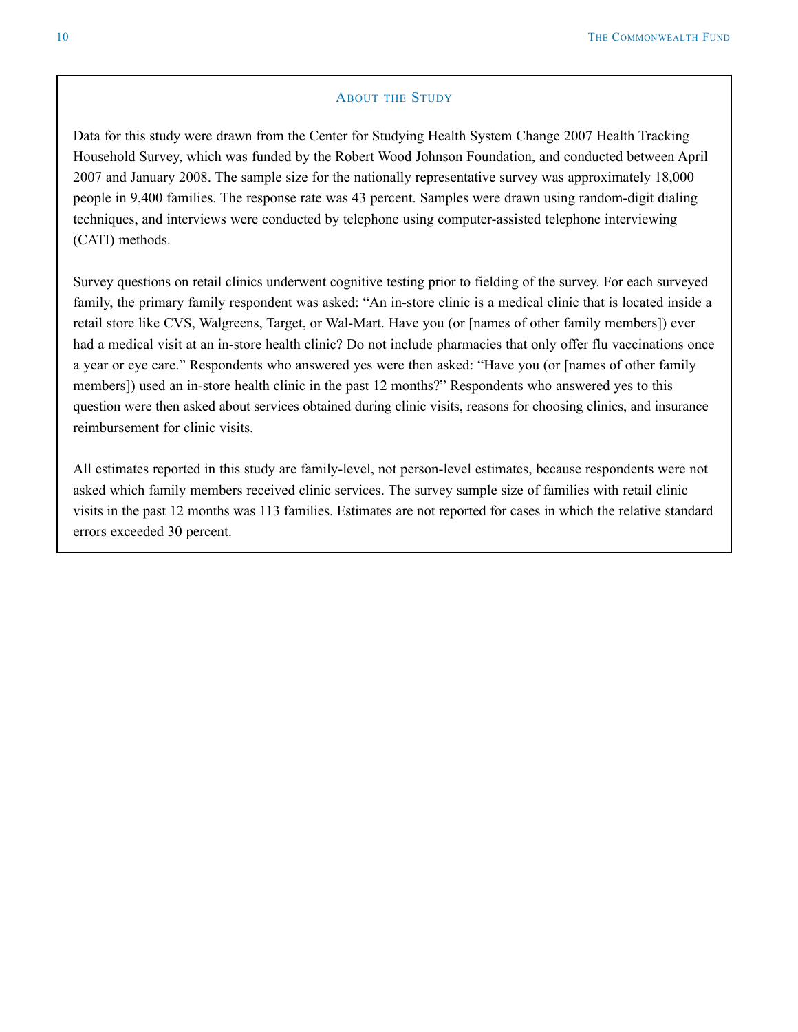#### **ABOUT THE STUDY**

<span id="page-9-0"></span>Data for this study were drawn from the Center for Studying Health System Change 2007 Health Tracking Household Survey, which was funded by the Robert Wood Johnson Foundation, and conducted between April 2007 and January 2008. The sample size for the nationally representative survey was approximately 18,000 people in 9,400 families. The response rate was 43 percent. Samples were drawn using random-digit dialing techniques, and interviews were conducted by telephone using computer-assisted telephone interviewing (CATI) methods.

Survey questions on retail clinics underwent cognitive testing prior to fielding of the survey. For each surveyed family, the primary family respondent was asked: "An in-store clinic is a medical clinic that is located inside a retail store like CVS, Walgreens, Target, or Wal-Mart. Have you (or [names of other family members]) ever had a medical visit at an in-store health clinic? Do not include pharmacies that only offer flu vaccinations once a year or eye care." Respondents who answered yes were then asked: "Have you (or [names of other family members]) used an in-store health clinic in the past 12 months?" Respondents who answered yes to this question were then asked about services obtained during clinic visits, reasons for choosing clinics, and insurance reimbursement for clinic visits.

All estimates reported in this study are family-level, not person-level estimates, because respondents were not asked which family members received clinic services. The survey sample size of families with retail clinic visits in the past 12 months was 113 families. Estimates are not reported for cases in which the relative standard errors exceeded 30 percent.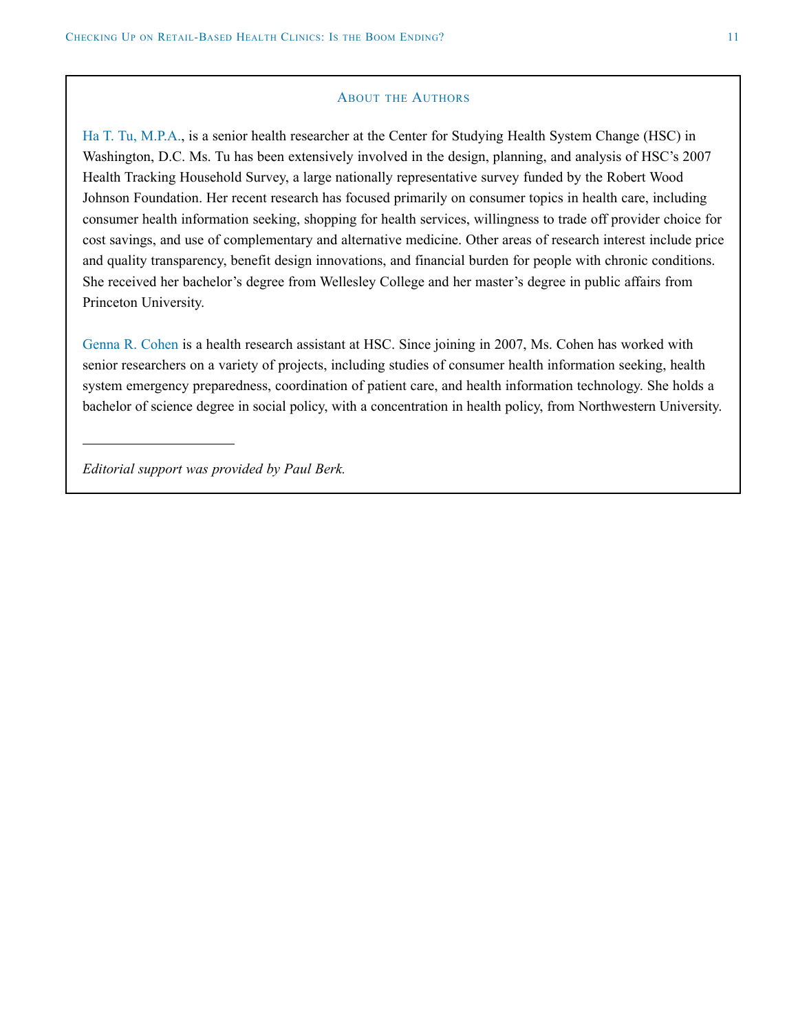#### **ABOUT THE AUTHORS**

Ha T. Tu, M.P.A., is a senior health researcher at the Center for Studying Health System Change (HSC) in Washington, D.C. Ms. Tu has been extensively involved in the design, planning, and analysis of HSC's 2007 Health Tracking Household Survey, a large nationally representative survey funded by the Robert Wood Johnson Foundation. Her recent research has focused primarily on consumer topics in health care, including consumer health information seeking, shopping for health services, willingness to trade off provider choice for cost savings, and use of complementary and alternative medicine. Other areas of research interest include price and quality transparency, benefit design innovations, and financial burden for people with chronic conditions. She received her bachelor's degree from Wellesley College and her master's degree in public affairs from Princeton University.

Genna R. Cohen is a health research assistant at HSC. Since joining in 2007, Ms. Cohen has worked with senior researchers on a variety of projects, including studies of consumer health information seeking, health system emergency preparedness, coordination of patient care, and health information technology. She holds a bachelor of science degree in social policy, with a concentration in health policy, from Northwestern University.

*Editorial support was provided by Paul Berk.*